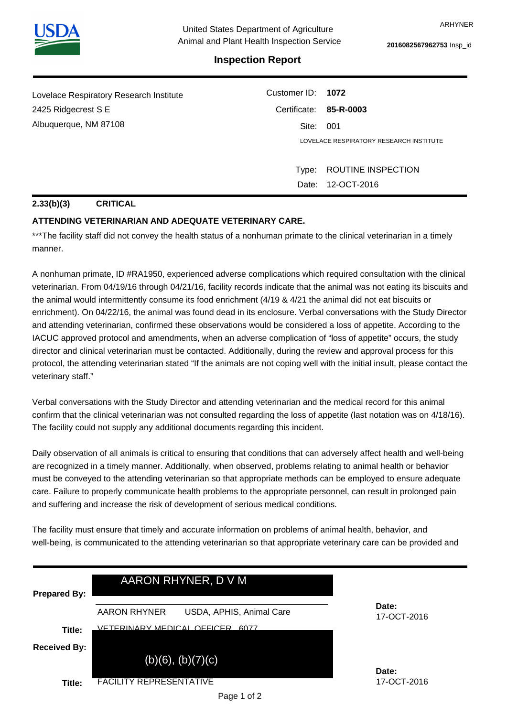

**2016082567962753** Insp\_id

# **Inspection Report**

| Lovelace Respiratory Research Institute | Customer ID: 1072      |                                         |  |
|-----------------------------------------|------------------------|-----------------------------------------|--|
| 2425 Ridgecrest S E                     | Certificate: 85-R-0003 |                                         |  |
| Albuquerque, NM 87108                   |                        | Site: 001                               |  |
|                                         |                        | LOVELACE RESPIRATORY RESEARCH INSTITUTE |  |
|                                         |                        |                                         |  |
|                                         | Type:                  | ROUTINE INSPECTION                      |  |
|                                         |                        | Date: 12-OCT-2016                       |  |

#### **2.33(b)(3) CRITICAL**

### **ATTENDING VETERINARIAN AND ADEQUATE VETERINARY CARE.**

\*\*\*The facility staff did not convey the health status of a nonhuman primate to the clinical veterinarian in a timely manner.

A nonhuman primate, ID #RA1950, experienced adverse complications which required consultation with the clinical veterinarian. From 04/19/16 through 04/21/16, facility records indicate that the animal was not eating its biscuits and the animal would intermittently consume its food enrichment (4/19 & 4/21 the animal did not eat biscuits or enrichment). On 04/22/16, the animal was found dead in its enclosure. Verbal conversations with the Study Director and attending veterinarian, confirmed these observations would be considered a loss of appetite. According to the IACUC approved protocol and amendments, when an adverse complication of "loss of appetite" occurs, the study director and clinical veterinarian must be contacted. Additionally, during the review and approval process for this protocol, the attending veterinarian stated "If the animals are not coping well with the initial insult, please contact the veterinary staff."

Verbal conversations with the Study Director and attending veterinarian and the medical record for this animal confirm that the clinical veterinarian was not consulted regarding the loss of appetite (last notation was on 4/18/16). The facility could not supply any additional documents regarding this incident.

Daily observation of all animals is critical to ensuring that conditions that can adversely affect health and well-being are recognized in a timely manner. Additionally, when observed, problems relating to animal health or behavior must be conveyed to the attending veterinarian so that appropriate methods can be employed to ensure adequate care. Failure to properly communicate health problems to the appropriate personnel, can result in prolonged pain and suffering and increase the risk of development of serious medical conditions.

The facility must ensure that timely and accurate information on problems of animal health, behavior, and well-being, is communicated to the attending veterinarian so that appropriate veterinary care can be provided and

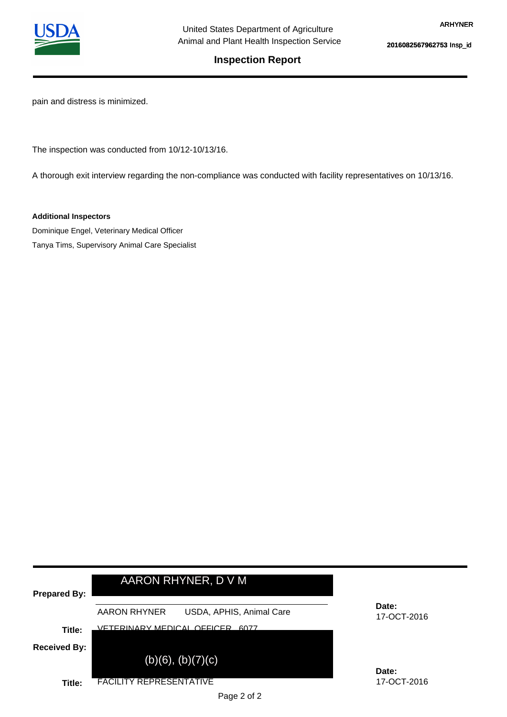

**2016082567962753** Insp\_id

## **Inspection Report**

pain and distress is minimized.

The inspection was conducted from 10/12-10/13/16.

A thorough exit interview regarding the non-compliance was conducted with facility representatives on 10/13/16.

**Additional Inspectors**

Dominique Engel, Veterinary Medical Officer Tanya Tims, Supervisory Animal Care Specialist